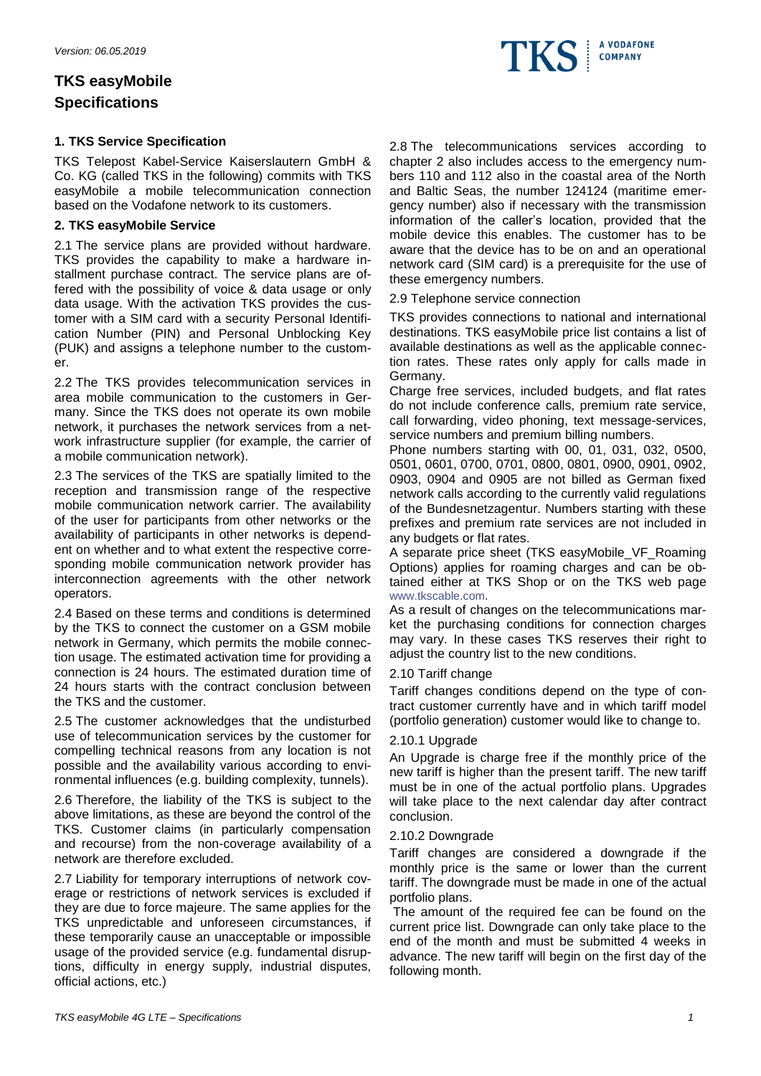# **TKS easyMobile Specifications**

# **1. TKS Service Specification**

TKS Telepost Kabel-Service Kaiserslautern GmbH & Co. KG (called TKS in the following) commits with TKS easyMobile a mobile telecommunication connection based on the Vodafone network to its customers.

### **2. TKS easyMobile Service**

2.1 The service plans are provided without hardware. TKS provides the capability to make a hardware installment purchase contract. The service plans are offered with the possibility of voice & data usage or only data usage. With the activation TKS provides the customer with a SIM card with a security Personal Identification Number (PIN) and Personal Unblocking Key (PUK) and assigns a telephone number to the customer.

2.2 The TKS provides telecommunication services in area mobile communication to the customers in Germany. Since the TKS does not operate its own mobile network, it purchases the network services from a network infrastructure supplier (for example, the carrier of a mobile communication network).

2.3 The services of the TKS are spatially limited to the reception and transmission range of the respective mobile communication network carrier. The availability of the user for participants from other networks or the availability of participants in other networks is dependent on whether and to what extent the respective corresponding mobile communication network provider has interconnection agreements with the other network operators.

2.4 Based on these terms and conditions is determined by the TKS to connect the customer on a GSM mobile network in Germany, which permits the mobile connection usage. The estimated activation time for providing a connection is 24 hours. The estimated duration time of 24 hours starts with the contract conclusion between the TKS and the customer.

2.5 The customer acknowledges that the undisturbed use of telecommunication services by the customer for compelling technical reasons from any location is not possible and the availability various according to environmental influences (e.g. building complexity, tunnels).

2.6 Therefore, the liability of the TKS is subject to the above limitations, as these are beyond the control of the TKS. Customer claims (in particularly compensation and recourse) from the non-coverage availability of a network are therefore excluded.

2.7 Liability for temporary interruptions of network coverage or restrictions of network services is excluded if they are due to force majeure. The same applies for the TKS unpredictable and unforeseen circumstances, if these temporarily cause an unacceptable or impossible usage of the provided service (e.g. fundamental disruptions, difficulty in energy supply, industrial disputes, official actions, etc.)

2.8 The telecommunications services according to chapter 2 also includes access to the emergency numbers 110 and 112 also in the coastal area of the North and Baltic Seas, the number 124124 (maritime emergency number) also if necessary with the transmission information of the caller's location, provided that the mobile device this enables. The customer has to be aware that the device has to be on and an operational network card (SIM card) is a prerequisite for the use of these emergency numbers.

2.9 Telephone service connection

TKS provides connections to national and international destinations. TKS easyMobile price list contains a list of available destinations as well as the applicable connection rates. These rates only apply for calls made in Germany.

Charge free services, included budgets, and flat rates do not include conference calls, premium rate service, call forwarding, video phoning, text message-services, service numbers and premium billing numbers.

Phone numbers starting with 00, 01, 031, 032, 0500, 0501, 0601, 0700, 0701, 0800, 0801, 0900, 0901, 0902, 0903, 0904 and 0905 are not billed as German fixed network calls according to the currently valid regulations of the Bundesnetzagentur. Numbers starting with these prefixes and premium rate services are not included in any budgets or flat rates.

A separate price sheet (TKS easyMobile\_VF\_Roaming Options) applies for roaming charges and can be obtained either at TKS Shop or on the TKS web page [www.tkscable.com.](http://www.tkscable.com/)

As a result of changes on the telecommunications market the purchasing conditions for connection charges may vary. In these cases TKS reserves their right to adjust the country list to the new conditions.

# 2.10 Tariff change

Tariff changes conditions depend on the type of contract customer currently have and in which tariff model (portfolio generation) customer would like to change to.

### 2.10.1 Upgrade

An Upgrade is charge free if the monthly price of the new tariff is higher than the present tariff. The new tariff must be in one of the actual portfolio plans. Upgrades will take place to the next calendar day after contract conclusion.

### 2.10.2 Downgrade

Tariff changes are considered a downgrade if the monthly price is the same or lower than the current tariff. The downgrade must be made in one of the actual portfolio plans.

The amount of the required fee can be found on the current price list. Downgrade can only take place to the end of the month and must be submitted 4 weeks in advance. The new tariff will begin on the first day of the following month.

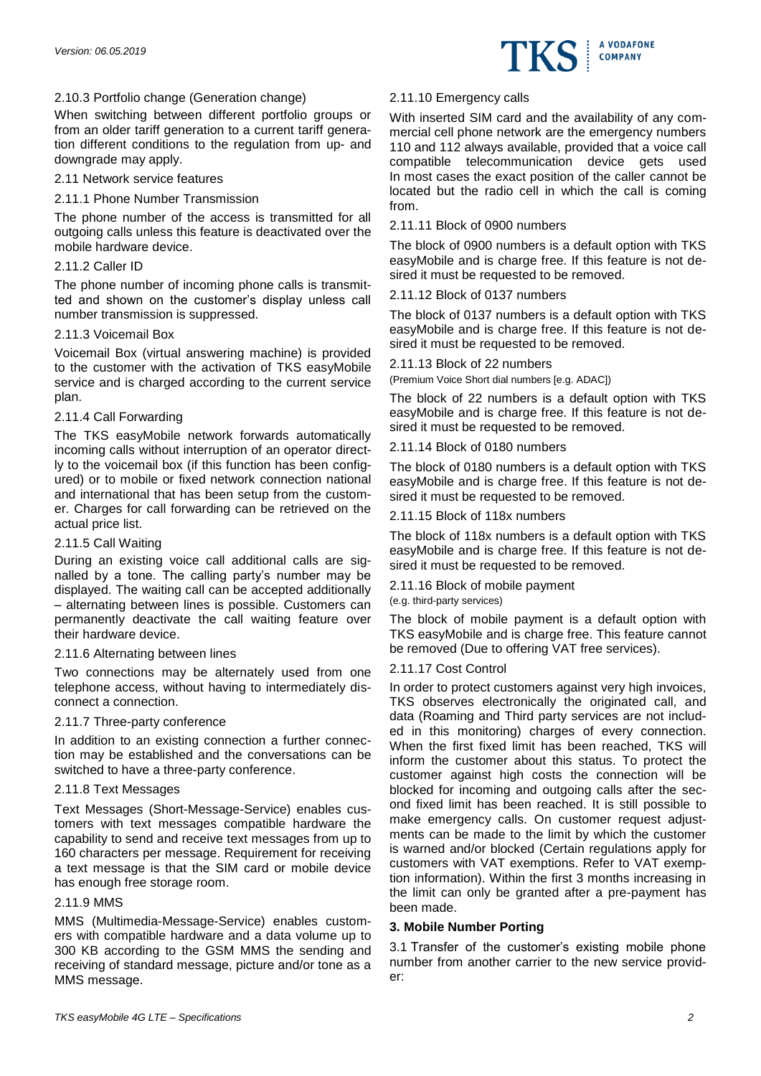

### 2.10.3 Portfolio change (Generation change)

When switching between different portfolio groups or from an older tariff generation to a current tariff generation different conditions to the regulation from up- and downgrade may apply.

### 2.11 Network service features

### 2.11.1 Phone Number Transmission

The phone number of the access is transmitted for all outgoing calls unless this feature is deactivated over the mobile hardware device.

### 2.11.2 Caller ID

The phone number of incoming phone calls is transmitted and shown on the customer's display unless call number transmission is suppressed.

### 2.11.3 Voicemail Box

Voicemail Box (virtual answering machine) is provided to the customer with the activation of TKS easyMobile service and is charged according to the current service plan.

### 2.11.4 Call Forwarding

The TKS easyMobile network forwards automatically incoming calls without interruption of an operator directly to the voicemail box (if this function has been configured) or to mobile or fixed network connection national and international that has been setup from the customer. Charges for call forwarding can be retrieved on the actual price list.

### 2.11.5 Call Waiting

During an existing voice call additional calls are signalled by a tone. The calling party's number may be displayed. The waiting call can be accepted additionally – alternating between lines is possible. Customers can permanently deactivate the call waiting feature over their hardware device.

### 2.11.6 Alternating between lines

Two connections may be alternately used from one telephone access, without having to intermediately disconnect a connection.

### 2.11.7 Three-party conference

In addition to an existing connection a further connection may be established and the conversations can be switched to have a three-party conference.

# 2.11.8 Text Messages

Text Messages (Short-Message-Service) enables customers with text messages compatible hardware the capability to send and receive text messages from up to 160 characters per message. Requirement for receiving a text message is that the SIM card or mobile device has enough free storage room.

### 2.11.9 MMS

MMS (Multimedia-Message-Service) enables customers with compatible hardware and a data volume up to 300 KB according to the GSM MMS the sending and receiving of standard message, picture and/or tone as a MMS message.

### 2.11.10 Emergency calls

With inserted SIM card and the availability of any commercial cell phone network are the emergency numbers 110 and 112 always available, provided that a voice call compatible telecommunication device gets used In most cases the exact position of the caller cannot be located but the radio cell in which the call is coming from.

### 2.11.11 Block of 0900 numbers

The block of 0900 numbers is a default option with TKS easyMobile and is charge free. If this feature is not desired it must be requested to be removed.

### 2.11.12 Block of 0137 numbers

The block of 0137 numbers is a default option with TKS easyMobile and is charge free. If this feature is not desired it must be requested to be removed.

### 2.11.13 Block of 22 numbers

(Premium Voice Short dial numbers [e.g. ADAC])

The block of 22 numbers is a default option with TKS easyMobile and is charge free. If this feature is not desired it must be requested to be removed.

### 2.11.14 Block of 0180 numbers

The block of 0180 numbers is a default option with TKS easyMobile and is charge free. If this feature is not desired it must be requested to be removed.

### 2.11.15 Block of 118x numbers

The block of 118x numbers is a default option with TKS easyMobile and is charge free. If this feature is not desired it must be requested to be removed.

### 2.11.16 Block of mobile payment

(e.g. third-party services)

The block of mobile payment is a default option with TKS easyMobile and is charge free. This feature cannot be removed (Due to offering VAT free services).

### 2.11.17 Cost Control

In order to protect customers against very high invoices, TKS observes electronically the originated call, and data (Roaming and Third party services are not included in this monitoring) charges of every connection. When the first fixed limit has been reached, TKS will inform the customer about this status. To protect the customer against high costs the connection will be blocked for incoming and outgoing calls after the second fixed limit has been reached. It is still possible to make emergency calls. On customer request adjustments can be made to the limit by which the customer is warned and/or blocked (Certain regulations apply for customers with VAT exemptions. Refer to VAT exemption information). Within the first 3 months increasing in the limit can only be granted after a pre-payment has been made.

### **3. Mobile Number Porting**

3.1 Transfer of the customer's existing mobile phone number from another carrier to the new service provider: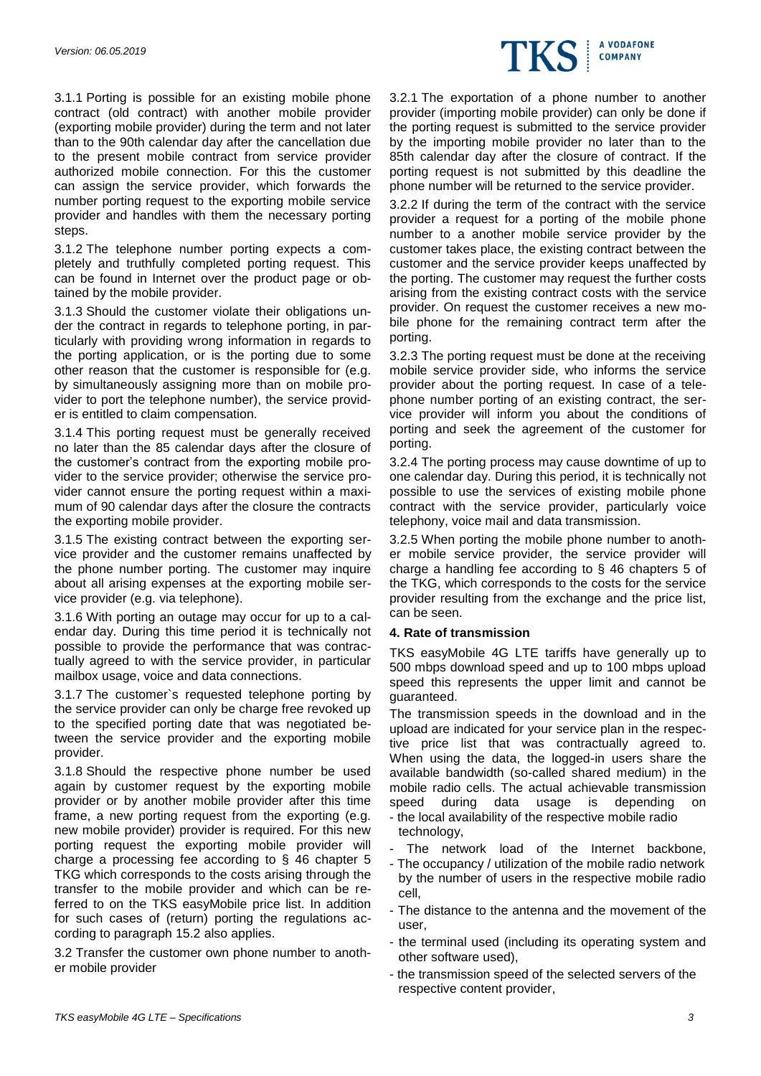

3.1.1 Porting is possible for an existing mobile phone contract (old contract) with another mobile provider (exporting mobile provider) during the term and not later than to the 90th calendar day after the cancellation due to the present mobile contract from service provider authorized mobile connection. For this the customer can assign the service provider, which forwards the number porting request to the exporting mobile service provider and handles with them the necessary porting steps.

3.1.2 The telephone number porting expects a completely and truthfully completed porting request. This can be found in Internet over the product page or obtained by the mobile provider.

3.1.3 Should the customer violate their obligations under the contract in regards to telephone porting, in particularly with providing wrong information in regards to the porting application, or is the porting due to some other reason that the customer is responsible for (e.g. by simultaneously assigning more than on mobile provider to port the telephone number), the service provider is entitled to claim compensation.

3.1.4 This porting request must be generally received no later than the 85 calendar days after the closure of the customer's contract from the exporting mobile provider to the service provider; otherwise the service provider cannot ensure the porting request within a maximum of 90 calendar days after the closure the contracts the exporting mobile provider.

3.1.5 The existing contract between the exporting service provider and the customer remains unaffected by the phone number porting. The customer may inquire about all arising expenses at the exporting mobile service provider (e.g. via telephone).

3.1.6 With porting an outage may occur for up to a calendar day. During this time period it is technically not possible to provide the performance that was contractually agreed to with the service provider, in particular mailbox usage, voice and data connections.

3.1.7 The customer`s requested telephone porting by the service provider can only be charge free revoked up to the specified porting date that was negotiated between the service provider and the exporting mobile provider.

3.1.8 Should the respective phone number be used again by customer request by the exporting mobile provider or by another mobile provider after this time frame, a new porting request from the exporting (e.g. new mobile provider) provider is required. For this new porting request the exporting mobile provider will charge a processing fee according to § 46 chapter 5 TKG which corresponds to the costs arising through the transfer to the mobile provider and which can be referred to on the TKS easyMobile price list. In addition for such cases of (return) porting the regulations according to paragraph 15.2 also applies.

3.2 Transfer the customer own phone number to another mobile provider

3.2.1 The exportation of a phone number to another provider (importing mobile provider) can only be done if the porting request is submitted to the service provider by the importing mobile provider no later than to the 85th calendar day after the closure of contract. If the porting request is not submitted by this deadline the phone number will be returned to the service provider.

3.2.2 If during the term of the contract with the service provider a request for a porting of the mobile phone number to a another mobile service provider by the customer takes place, the existing contract between the customer and the service provider keeps unaffected by the porting. The customer may request the further costs arising from the existing contract costs with the service provider. On request the customer receives a new mobile phone for the remaining contract term after the porting.

3.2.3 The porting request must be done at the receiving mobile service provider side, who informs the service provider about the porting request. In case of a telephone number porting of an existing contract, the service provider will inform you about the conditions of porting and seek the agreement of the customer for porting.

3.2.4 The porting process may cause downtime of up to one calendar day. During this period, it is technically not possible to use the services of existing mobile phone contract with the service provider, particularly voice telephony, voice mail and data transmission.

3.2.5 When porting the mobile phone number to another mobile service provider, the service provider will charge a handling fee according to § 46 chapters 5 of the TKG, which corresponds to the costs for the service provider resulting from the exchange and the price list, can be seen.

### **4. Rate of transmission**

TKS easyMobile 4G LTE tariffs have generally up to 500 mbps download speed and up to 100 mbps upload speed this represents the upper limit and cannot be guaranteed.

The transmission speeds in the download and in the upload are indicated for your service plan in the respective price list that was contractually agreed to. When using the data, the logged-in users share the available bandwidth (so-called shared medium) in the mobile radio cells. The actual achievable transmission speed during data usage is depending on - the local availability of the respective mobile radio

- technology,
- The network load of the Internet backbone,
- The occupancy / utilization of the mobile radio network by the number of users in the respective mobile radio cell,
- The distance to the antenna and the movement of the user,
- the terminal used (including its operating system and other software used),
- the transmission speed of the selected servers of the respective content provider,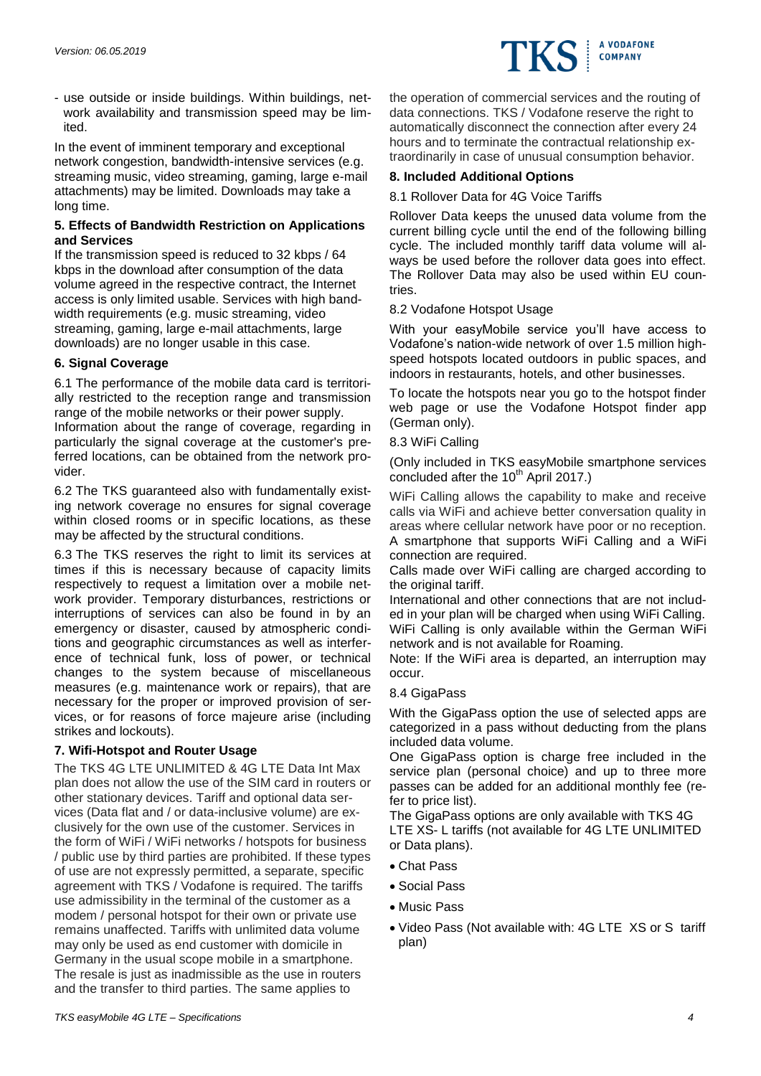

- use outside or inside buildings. Within buildings, network availability and transmission speed may be limited.

In the event of imminent temporary and exceptional network congestion, bandwidth-intensive services (e.g. streaming music, video streaming, gaming, large e-mail attachments) may be limited. Downloads may take a long time.

### **5. Effects of Bandwidth Restriction on Applications and Services**

If the transmission speed is reduced to 32 kbps / 64 kbps in the download after consumption of the data volume agreed in the respective contract, the Internet access is only limited usable. Services with high bandwidth requirements (e.g. music streaming, video streaming, gaming, large e-mail attachments, large downloads) are no longer usable in this case.

# **6. Signal Coverage**

6.1 The performance of the mobile data card is territorially restricted to the reception range and transmission range of the mobile networks or their power supply.

Information about the range of coverage, regarding in particularly the signal coverage at the customer's preferred locations, can be obtained from the network provider.

6.2 The TKS guaranteed also with fundamentally existing network coverage no ensures for signal coverage within closed rooms or in specific locations, as these may be affected by the structural conditions.

6.3 The TKS reserves the right to limit its services at times if this is necessary because of capacity limits respectively to request a limitation over a mobile network provider. Temporary disturbances, restrictions or interruptions of services can also be found in by an emergency or disaster, caused by atmospheric conditions and geographic circumstances as well as interference of technical funk, loss of power, or technical changes to the system because of miscellaneous measures (e.g. maintenance work or repairs), that are necessary for the proper or improved provision of services, or for reasons of force majeure arise (including strikes and lockouts).

# **7. Wifi-Hotspot and Router Usage**

The TKS 4G LTE UNLIMITED & 4G LTE Data Int Max plan does not allow the use of the SIM card in routers or other stationary devices. Tariff and optional data services (Data flat and / or data-inclusive volume) are exclusively for the own use of the customer. Services in the form of WiFi / WiFi networks / hotspots for business / public use by third parties are prohibited. If these types of use are not expressly permitted, a separate, specific agreement with TKS / Vodafone is required. The tariffs use admissibility in the terminal of the customer as a modem / personal hotspot for their own or private use remains unaffected. Tariffs with unlimited data volume may only be used as end customer with domicile in Germany in the usual scope mobile in a smartphone. The resale is just as inadmissible as the use in routers and the transfer to third parties. The same applies to

the operation of commercial services and the routing of data connections. TKS / Vodafone reserve the right to automatically disconnect the connection after every 24 hours and to terminate the contractual relationship extraordinarily in case of unusual consumption behavior.

# **8. Included Additional Options**

### 8.1 Rollover Data for 4G Voice Tariffs

Rollover Data keeps the unused data volume from the current billing cycle until the end of the following billing cycle. The included monthly tariff data volume will always be used before the rollover data goes into effect. The Rollover Data may also be used within EU countries.

### 8.2 Vodafone Hotspot Usage

With your easyMobile service you'll have access to Vodafone's nation-wide network of over 1.5 million highspeed hotspots located outdoors in public spaces, and indoors in restaurants, hotels, and other businesses.

To locate the hotspots near you go to the hotspot finder web page or use the Vodafone Hotspot finder app (German only).

8.3 WiFi Calling

(Only included in TKS easyMobile smartphone services concluded after the 10<sup>th</sup> April 2017.)

WiFi Calling allows the capability to make and receive calls via WiFi and achieve better conversation quality in areas where cellular network have poor or no reception. A smartphone that supports WiFi Calling and a WiFi connection are required.

Calls made over WiFi calling are charged according to the original tariff.

International and other connections that are not included in your plan will be charged when using WiFi Calling. WiFi Calling is only available within the German WiFi network and is not available for Roaming.

Note: If the WiFi area is departed, an interruption may occur.

### 8.4 GigaPass

With the GigaPass option the use of selected apps are categorized in a pass without deducting from the plans included data volume.

One GigaPass option is charge free included in the service plan (personal choice) and up to three more passes can be added for an additional monthly fee (refer to price list).

The GigaPass options are only available with TKS 4G LTE XS- L tariffs (not available for 4G LTE UNLIMITED or Data plans).

- Chat Pass
- Social Pass
- Music Pass
- Video Pass (Not available with: 4G LTE XS or S tariff plan)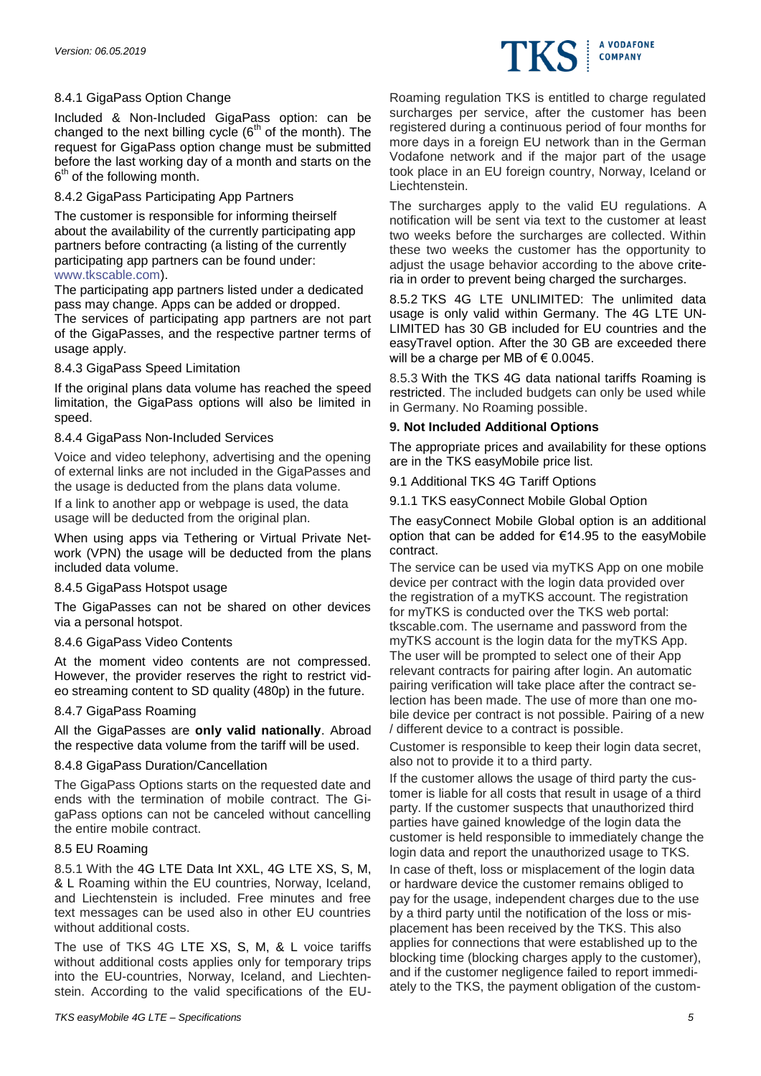# 8.4.1 GigaPass Option Change

Included & Non-Included GigaPass option: can be changed to the next billing cycle  $(6<sup>th</sup>$  of the month). The request for GigaPass option change must be submitted before the last working day of a month and starts on the  $6<sup>th</sup>$  of the following month.

### 8.4.2 GigaPass Participating App Partners

The customer is responsible for informing theirself about the availability of the currently participating app partners before contracting (a listing of the currently participating app partners can be found under: [www.tkscable.com\)](http://www.tkscable.com/).

The participating app partners listed under a dedicated pass may change. Apps can be added or dropped.

The services of participating app partners are not part of the GigaPasses, and the respective partner terms of usage apply.

# 8.4.3 GigaPass Speed Limitation

If the original plans data volume has reached the speed limitation, the GigaPass options will also be limited in speed.

### 8.4.4 GigaPass Non-Included Services

Voice and video telephony, advertising and the opening of external links are not included in the GigaPasses and the usage is deducted from the plans data volume.

If a link to another app or webpage is used, the data usage will be deducted from the original plan.

When using apps via Tethering or Virtual Private Network (VPN) the usage will be deducted from the plans included data volume.

### 8.4.5 GigaPass Hotspot usage

The GigaPasses can not be shared on other devices via a personal hotspot.

### 8.4.6 GigaPass Video Contents

At the moment video contents are not compressed. However, the provider reserves the right to restrict video streaming content to SD quality (480p) in the future.

### 8.4.7 GigaPass Roaming

All the GigaPasses are **only valid nationally**. Abroad the respective data volume from the tariff will be used.

# 8.4.8 GigaPass Duration/Cancellation

The GigaPass Options starts on the requested date and ends with the termination of mobile contract. The GigaPass options can not be canceled without cancelling the entire mobile contract.

### 8.5 EU Roaming

8.5.1 With the 4G LTE Data Int XXL, 4G LTE XS, S, M, & L Roaming within the EU countries, Norway, Iceland, and Liechtenstein is included. Free minutes and free text messages can be used also in other EU countries without additional costs.

The use of TKS 4G LTE XS, S, M, & L voice tariffs without additional costs applies only for temporary trips into the EU-countries, Norway, Iceland, and Liechtenstein. According to the valid specifications of the EU-

Roaming regulation TKS is entitled to charge regulated surcharges per service, after the customer has been registered during a continuous period of four months for more days in a foreign EU network than in the German Vodafone network and if the major part of the usage took place in an EU foreign country, Norway, Iceland or Liechtenstein.

A VODAFONE **COMPANY** 

The surcharges apply to the valid EU regulations. A notification will be sent via text to the customer at least two weeks before the surcharges are collected. Within these two weeks the customer has the opportunity to adjust the usage behavior according to the above criteria in order to prevent being charged the surcharges.

8.5.2 TKS 4G LTE UNLIMITED: The unlimited data usage is only valid within Germany. The 4G LTE UN-LIMITED has 30 GB included for EU countries and the easyTravel option. After the 30 GB are exceeded there will be a charge per MB of  $\epsilon$  0.0045.

8.5.3 With the TKS 4G data national tariffs Roaming is restricted. The included budgets can only be used while in Germany. No Roaming possible.

# **9. Not Included Additional Options**

The appropriate prices and availability for these options are in the TKS easyMobile price list.

9.1 Additional TKS 4G Tariff Options

9.1.1 TKS easyConnect Mobile Global Option

The easyConnect Mobile Global option is an additional option that can be added for €14.95 to the easyMobile contract.

The service can be used via myTKS App on one mobile device per contract with the login data provided over the registration of a myTKS account. The registration for myTKS is conducted over the TKS web portal: tkscable.com. The username and password from the myTKS account is the login data for the myTKS App. The user will be prompted to select one of their App relevant contracts for pairing after login. An automatic pairing verification will take place after the contract selection has been made. The use of more than one mobile device per contract is not possible. Pairing of a new / different device to a contract is possible.

Customer is responsible to keep their login data secret, also not to provide it to a third party.

If the customer allows the usage of third party the customer is liable for all costs that result in usage of a third party. If the customer suspects that unauthorized third parties have gained knowledge of the login data the customer is held responsible to immediately change the login data and report the unauthorized usage to TKS.

In case of theft, loss or misplacement of the login data or hardware device the customer remains obliged to pay for the usage, independent charges due to the use by a third party until the notification of the loss or misplacement has been received by the TKS. This also applies for connections that were established up to the blocking time (blocking charges apply to the customer), and if the customer negligence failed to report immediately to the TKS, the payment obligation of the custom-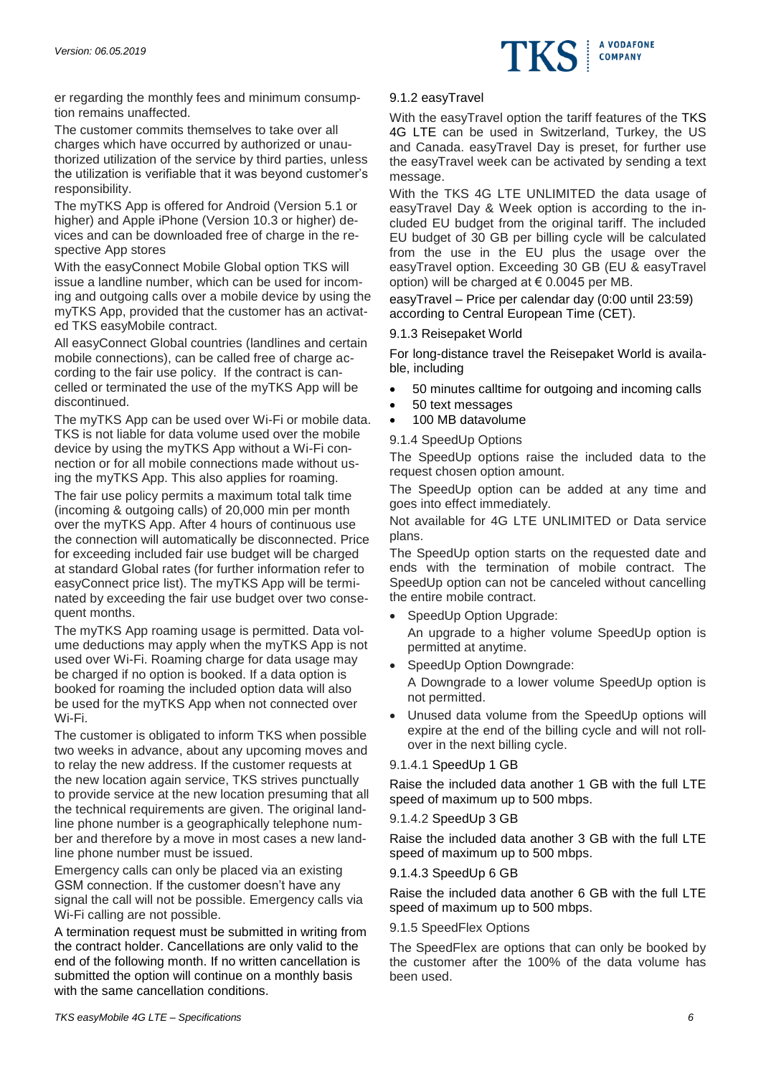

er regarding the monthly fees and minimum consumption remains unaffected.

The customer commits themselves to take over all charges which have occurred by authorized or unauthorized utilization of the service by third parties, unless the utilization is verifiable that it was beyond customer's responsibility.

The myTKS App is offered for Android (Version 5.1 or higher) and Apple iPhone (Version 10.3 or higher) devices and can be downloaded free of charge in the respective App stores

With the easyConnect Mobile Global option TKS will issue a landline number, which can be used for incoming and outgoing calls over a mobile device by using the myTKS App, provided that the customer has an activated TKS easyMobile contract.

All easyConnect Global countries (landlines and certain mobile connections), can be called free of charge according to the fair use policy. If the contract is cancelled or terminated the use of the myTKS App will be discontinued.

The myTKS App can be used over Wi-Fi or mobile data. TKS is not liable for data volume used over the mobile device by using the myTKS App without a Wi-Fi connection or for all mobile connections made without using the myTKS App. This also applies for roaming.

The fair use policy permits a maximum total talk time (incoming & outgoing calls) of 20,000 min per month over the myTKS App. After 4 hours of continuous use the connection will automatically be disconnected. Price for exceeding included fair use budget will be charged at standard Global rates (for further information refer to easyConnect price list). The myTKS App will be terminated by exceeding the fair use budget over two consequent months.

The myTKS App roaming usage is permitted. Data volume deductions may apply when the myTKS App is not used over Wi-Fi. Roaming charge for data usage may be charged if no option is booked. If a data option is booked for roaming the included option data will also be used for the myTKS App when not connected over Wi-Fi.

The customer is obligated to inform TKS when possible two weeks in advance, about any upcoming moves and to relay the new address. If the customer requests at the new location again service, TKS strives punctually to provide service at the new location presuming that all the technical requirements are given. The original landline phone number is a geographically telephone number and therefore by a move in most cases a new landline phone number must be issued.

Emergency calls can only be placed via an existing GSM connection. If the customer doesn't have any signal the call will not be possible. Emergency calls via Wi-Fi calling are not possible.

A termination request must be submitted in writing from the contract holder. Cancellations are only valid to the end of the following month. If no written cancellation is submitted the option will continue on a monthly basis with the same cancellation conditions.

### 9.1.2 easyTravel

With the easyTravel option the tariff features of the TKS 4G LTE can be used in Switzerland, Turkey, the US and Canada. easyTravel Day is preset, for further use the easyTravel week can be activated by sending a text message.

With the TKS 4G LTE UNLIMITED the data usage of easyTravel Day & Week option is according to the included EU budget from the original tariff. The included EU budget of 30 GB per billing cycle will be calculated from the use in the EU plus the usage over the easyTravel option. Exceeding 30 GB (EU & easyTravel option) will be charged at  $\epsilon$  0.0045 per MB.

easyTravel – Price per calendar day (0:00 until 23:59) according to Central European Time (CET).

### 9.1.3 Reisepaket World

For long-distance travel the Reisepaket World is available, including

- 50 minutes calltime for outgoing and incoming calls
- 50 text messages
- 100 MB datavolume

# 9.1.4 SpeedUp Options

The SpeedUp options raise the included data to the request chosen option amount.

The SpeedUp option can be added at any time and goes into effect immediately.

Not available for 4G LTE UNLIMITED or Data service plans.

The SpeedUp option starts on the requested date and ends with the termination of mobile contract. The SpeedUp option can not be canceled without cancelling the entire mobile contract.

SpeedUp Option Upgrade:

An upgrade to a higher volume SpeedUp option is permitted at anytime.

- SpeedUp Option Downgrade: A Downgrade to a lower volume SpeedUp option is not permitted.
- Unused data volume from the SpeedUp options will expire at the end of the billing cycle and will not rollover in the next billing cycle.

# 9.1.4.1 SpeedUp 1 GB

Raise the included data another 1 GB with the full LTE speed of maximum up to 500 mbps.

### 9.1.4.2 SpeedUp 3 GB

Raise the included data another 3 GB with the full LTE speed of maximum up to 500 mbps.

# 9.1.4.3 SpeedUp 6 GB

Raise the included data another 6 GB with the full LTE speed of maximum up to 500 mbps.

### 9.1.5 SpeedFlex Options

The SpeedFlex are options that can only be booked by the customer after the 100% of the data volume has been used.